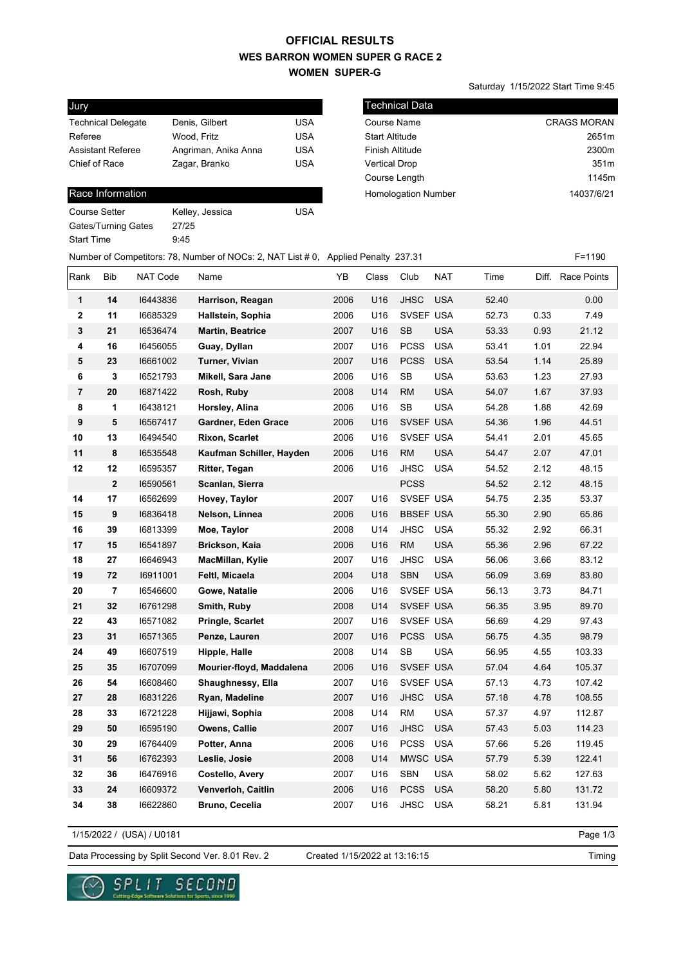## **WES BARRON WOMEN SUPER G RACE 2 WOMEN SUPER-G OFFICIAL RESULTS**

Saturday 1/15/2022 Start Time 9:45

| Jury                      |                      |            |
|---------------------------|----------------------|------------|
| <b>Technical Delegate</b> | Denis, Gilbert       | USA        |
| Referee                   | Wood. Fritz          | <b>USA</b> |
| <b>Assistant Referee</b>  | Angriman, Anika Anna | USA        |
| Chief of Race             | Zagar, Branko        | <b>USA</b> |
|                           |                      |            |

### Race Information

| Course Setter       | Kelley, Jessica | USA |
|---------------------|-----------------|-----|
| Gates/Turning Gates | 27/25           |     |
| Start Time          | 9.45            |     |
|                     |                 |     |

| l Technical Data           |                    |
|----------------------------|--------------------|
| Course Name                | <b>CRAGS MORAN</b> |
| <b>Start Altitude</b>      | 2651m              |
| <b>Finish Altitude</b>     | 2300m              |
| <b>Vertical Drop</b>       | 351m               |
| Course Length              | 1145m              |
| <b>Homologation Number</b> | 14037/6/21         |
|                            |                    |

| Number of Competitors: 78, Number of NOCs: 2, NAT List # 0, Applied Penalty 237.31 |  | F=1190 |
|------------------------------------------------------------------------------------|--|--------|
|------------------------------------------------------------------------------------|--|--------|

| Rank                    | Bib                     | NAT Code | Name                     | YB   | Class | Club             | <b>NAT</b> | Time  |      | Diff. Race Points |
|-------------------------|-------------------------|----------|--------------------------|------|-------|------------------|------------|-------|------|-------------------|
| 1                       | 14                      | 16443836 | Harrison, Reagan         | 2006 | U16   | JHSC             | <b>USA</b> | 52.40 |      | 0.00              |
| $\overline{\mathbf{2}}$ | 11                      | 16685329 | Hallstein, Sophia        | 2006 | U16   | SVSEF USA        |            | 52.73 | 0.33 | 7.49              |
| 3                       | 21                      | 16536474 | <b>Martin, Beatrice</b>  | 2007 | U16   | <b>SB</b>        | <b>USA</b> | 53.33 | 0.93 | 21.12             |
| 4                       | 16                      | 16456055 | Guay, Dyllan             | 2007 | U16   | <b>PCSS</b>      | <b>USA</b> | 53.41 | 1.01 | 22.94             |
| 5                       | 23                      | 16661002 | Turner, Vivian           | 2007 | U16   | <b>PCSS</b>      | <b>USA</b> | 53.54 | 1.14 | 25.89             |
| 6                       | 3                       | 16521793 | Mikell, Sara Jane        | 2006 | U16   | <b>SB</b>        | <b>USA</b> | 53.63 | 1.23 | 27.93             |
| $\overline{\mathbf{r}}$ | 20                      | 16871422 | Rosh, Ruby               | 2008 | U14   | <b>RM</b>        | <b>USA</b> | 54.07 | 1.67 | 37.93             |
| 8                       | 1                       | 16438121 | Horsley, Alina           | 2006 | U16   | <b>SB</b>        | <b>USA</b> | 54.28 | 1.88 | 42.69             |
| 9                       | 5                       | 16567417 | Gardner, Eden Grace      | 2006 | U16   | SVSEF USA        |            | 54.36 | 1.96 | 44.51             |
| 10                      | 13                      | 16494540 | <b>Rixon, Scarlet</b>    | 2006 | U16   | SVSEF USA        |            | 54.41 | 2.01 | 45.65             |
| 11                      | 8                       | 16535548 | Kaufman Schiller, Hayden | 2006 | U16   | <b>RM</b>        | <b>USA</b> | 54.47 | 2.07 | 47.01             |
| 12                      | 12                      | 16595357 | Ritter, Tegan            | 2006 | U16   | <b>JHSC</b>      | <b>USA</b> | 54.52 | 2.12 | 48.15             |
|                         | $\overline{\mathbf{2}}$ | 16590561 | Scanlan, Sierra          |      |       | <b>PCSS</b>      |            | 54.52 | 2.12 | 48.15             |
| 14                      | 17                      | 16562699 | Hovey, Taylor            | 2007 | U16   | SVSEF USA        |            | 54.75 | 2.35 | 53.37             |
| 15                      | 9                       | 16836418 | Nelson, Linnea           | 2006 | U16   | <b>BBSEF USA</b> |            | 55.30 | 2.90 | 65.86             |
| 16                      | 39                      | 16813399 | Moe, Taylor              | 2008 | U14   | <b>JHSC</b>      | <b>USA</b> | 55.32 | 2.92 | 66.31             |
| 17                      | 15                      | 16541897 | Brickson, Kaia           | 2006 | U16   | <b>RM</b>        | <b>USA</b> | 55.36 | 2.96 | 67.22             |
| 18                      | 27                      | 16646943 | MacMillan, Kylie         | 2007 | U16   | JHSC             | <b>USA</b> | 56.06 | 3.66 | 83.12             |
| 19                      | 72                      | 16911001 | Feltl, Micaela           | 2004 | U18   | <b>SBN</b>       | <b>USA</b> | 56.09 | 3.69 | 83.80             |
| 20                      | $\overline{7}$          | 16546600 | Gowe, Natalie            | 2006 | U16   | SVSEF USA        |            | 56.13 | 3.73 | 84.71             |
| 21                      | 32                      | 16761298 | Smith, Ruby              | 2008 | U14   | SVSEF USA        |            | 56.35 | 3.95 | 89.70             |
| 22                      | 43                      | 16571082 | Pringle, Scarlet         | 2007 | U16   | SVSEF USA        |            | 56.69 | 4.29 | 97.43             |
| 23                      | 31                      | 16571365 | Penze, Lauren            | 2007 | U16   | <b>PCSS</b>      | <b>USA</b> | 56.75 | 4.35 | 98.79             |
| 24                      | 49                      | 16607519 | Hipple, Halle            | 2008 | U14   | <b>SB</b>        | <b>USA</b> | 56.95 | 4.55 | 103.33            |
| 25                      | 35                      | 16707099 | Mourier-floyd, Maddalena | 2006 | U16   | SVSEF USA        |            | 57.04 | 4.64 | 105.37            |
| 26                      | 54                      | 16608460 | Shaughnessy, Ella        | 2007 | U16   | SVSEF USA        |            | 57.13 | 4.73 | 107.42            |
| 27                      | 28                      | 16831226 | Ryan, Madeline           | 2007 | U16   | <b>JHSC</b>      | <b>USA</b> | 57.18 | 4.78 | 108.55            |
| 28                      | 33                      | 16721228 | Hijjawi, Sophia          | 2008 | U14   | <b>RM</b>        | <b>USA</b> | 57.37 | 4.97 | 112.87            |
| 29                      | 50                      | 16595190 | Owens, Callie            | 2007 | U16   | <b>JHSC</b>      | <b>USA</b> | 57.43 | 5.03 | 114.23            |
| 30                      | 29                      | 16764409 | Potter, Anna             | 2006 | U16   | <b>PCSS</b>      | <b>USA</b> | 57.66 | 5.26 | 119.45            |
| 31                      | 56                      | 16762393 | Leslie, Josie            | 2008 | U14   | MWSC USA         |            | 57.79 | 5.39 | 122.41            |
| 32                      | 36                      | 16476916 | Costello, Avery          | 2007 | U16   | <b>SBN</b>       | <b>USA</b> | 58.02 | 5.62 | 127.63            |
| 33                      | 24                      | 16609372 | Venverloh, Caitlin       | 2006 | U16   | <b>PCSS</b>      | <b>USA</b> | 58.20 | 5.80 | 131.72            |
| 34                      | 38                      | 16622860 | Bruno, Cecelia           | 2007 | U16   | <b>JHSC</b>      | <b>USA</b> | 58.21 | 5.81 | 131.94            |

1/15/2022 / (USA) / U0181

Page 1/3

Data Processing by Split Second Ver. 8.01 Rev. 2 Created 1/15/2022 at 13:16:15

Created 1/15/2022 at 13:16:15

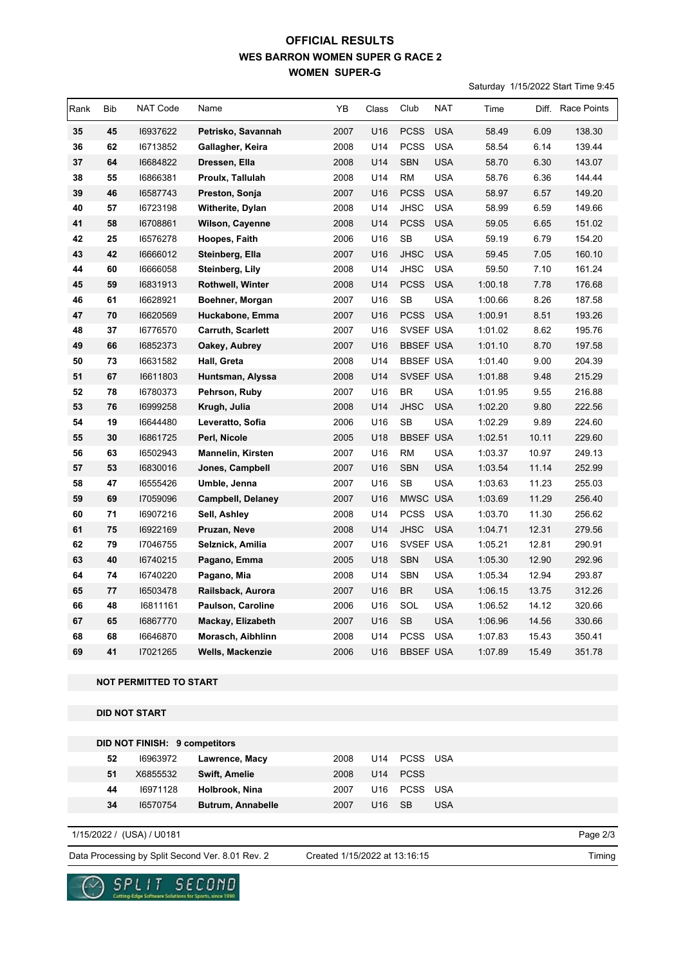## **WES BARRON WOMEN SUPER G RACE 2 WOMEN SUPER-G OFFICIAL RESULTS**

Saturday 1/15/2022 Start Time 9:45

| Rank | <b>Bib</b> | NAT Code | Name                     | YB   | Class | Club             | <b>NAT</b> | Time    | Diff. | Race Points |
|------|------------|----------|--------------------------|------|-------|------------------|------------|---------|-------|-------------|
| 35   | 45         | 16937622 | Petrisko, Savannah       | 2007 | U16   | <b>PCSS</b>      | <b>USA</b> | 58.49   | 6.09  | 138.30      |
| 36   | 62         | 16713852 | Gallagher, Keira         | 2008 | U14   | <b>PCSS</b>      | <b>USA</b> | 58.54   | 6.14  | 139.44      |
| 37   | 64         | 16684822 | Dressen, Ella            | 2008 | U14   | <b>SBN</b>       | <b>USA</b> | 58.70   | 6.30  | 143.07      |
| 38   | 55         | 16866381 | Proulx, Tallulah         | 2008 | U14   | <b>RM</b>        | <b>USA</b> | 58.76   | 6.36  | 144.44      |
| 39   | 46         | 16587743 | Preston, Sonja           | 2007 | U16   | <b>PCSS</b>      | <b>USA</b> | 58.97   | 6.57  | 149.20      |
| 40   | 57         | 16723198 | Witherite, Dylan         | 2008 | U14   | <b>JHSC</b>      | <b>USA</b> | 58.99   | 6.59  | 149.66      |
| 41   | 58         | 16708861 | Wilson, Cayenne          | 2008 | U14   | <b>PCSS</b>      | <b>USA</b> | 59.05   | 6.65  | 151.02      |
| 42   | 25         | 16576278 | Hoopes, Faith            | 2006 | U16   | <b>SB</b>        | <b>USA</b> | 59.19   | 6.79  | 154.20      |
| 43   | 42         | 16666012 | Steinberg, Ella          | 2007 | U16   | <b>JHSC</b>      | <b>USA</b> | 59.45   | 7.05  | 160.10      |
| 44   | 60         | 16666058 | Steinberg, Lily          | 2008 | U14   | <b>JHSC</b>      | <b>USA</b> | 59.50   | 7.10  | 161.24      |
| 45   | 59         | 16831913 | Rothwell, Winter         | 2008 | U14   | <b>PCSS</b>      | <b>USA</b> | 1:00.18 | 7.78  | 176.68      |
| 46   | 61         | 16628921 | Boehner, Morgan          | 2007 | U16   | <b>SB</b>        | <b>USA</b> | 1:00.66 | 8.26  | 187.58      |
| 47   | 70         | 16620569 | Huckabone, Emma          | 2007 | U16   | <b>PCSS</b>      | <b>USA</b> | 1:00.91 | 8.51  | 193.26      |
| 48   | 37         | 16776570 | <b>Carruth, Scarlett</b> | 2007 | U16   | SVSEF USA        |            | 1:01.02 | 8.62  | 195.76      |
| 49   | 66         | 16852373 | Oakey, Aubrey            | 2007 | U16   | <b>BBSEF USA</b> |            | 1:01.10 | 8.70  | 197.58      |
| 50   | 73         | 16631582 | Hall, Greta              | 2008 | U14   | <b>BBSEF USA</b> |            | 1:01.40 | 9.00  | 204.39      |
| 51   | 67         | 16611803 | Huntsman, Alyssa         | 2008 | U14   | SVSEF USA        |            | 1:01.88 | 9.48  | 215.29      |
| 52   | 78         | 16780373 | Pehrson, Ruby            | 2007 | U16   | <b>BR</b>        | <b>USA</b> | 1:01.95 | 9.55  | 216.88      |
| 53   | 76         | 16999258 | Krugh, Julia             | 2008 | U14   | <b>JHSC</b>      | <b>USA</b> | 1:02.20 | 9.80  | 222.56      |
| 54   | 19         | 16644480 | Leveratto, Sofia         | 2006 | U16   | <b>SB</b>        | <b>USA</b> | 1:02.29 | 9.89  | 224.60      |
| 55   | 30         | 16861725 | Perl, Nicole             | 2005 | U18   | <b>BBSEF USA</b> |            | 1:02.51 | 10.11 | 229.60      |
| 56   | 63         | 16502943 | <b>Mannelin, Kirsten</b> | 2007 | U16   | <b>RM</b>        | <b>USA</b> | 1:03.37 | 10.97 | 249.13      |
| 57   | 53         | 16830016 | Jones, Campbell          | 2007 | U16   | <b>SBN</b>       | <b>USA</b> | 1:03.54 | 11.14 | 252.99      |
| 58   | 47         | 16555426 | Umble, Jenna             | 2007 | U16   | <b>SB</b>        | <b>USA</b> | 1:03.63 | 11.23 | 255.03      |
| 59   | 69         | 17059096 | <b>Campbell, Delaney</b> | 2007 | U16   | MWSC USA         |            | 1:03.69 | 11.29 | 256.40      |
| 60   | 71         | 16907216 | Sell, Ashley             | 2008 | U14   | <b>PCSS</b>      | <b>USA</b> | 1:03.70 | 11.30 | 256.62      |
| 61   | 75         | 16922169 | Pruzan, Neve             | 2008 | U14   | <b>JHSC</b>      | <b>USA</b> | 1:04.71 | 12.31 | 279.56      |
| 62   | 79         | 17046755 | Selznick, Amilia         | 2007 | U16   | SVSEF USA        |            | 1:05.21 | 12.81 | 290.91      |
| 63   | 40         | 16740215 | Pagano, Emma             | 2005 | U18   | <b>SBN</b>       | <b>USA</b> | 1:05.30 | 12.90 | 292.96      |
| 64   | 74         | 16740220 | Pagano, Mia              | 2008 | U14   | <b>SBN</b>       | <b>USA</b> | 1:05.34 | 12.94 | 293.87      |
| 65   | 77         | 16503478 | Railsback, Aurora        | 2007 | U16   | <b>BR</b>        | <b>USA</b> | 1:06.15 | 13.75 | 312.26      |
| 66   | 48         | 16811161 | Paulson, Caroline        | 2006 | U16   | SOL              | <b>USA</b> | 1:06.52 | 14.12 | 320.66      |
| 67   | 65         | 16867770 | Mackay, Elizabeth        | 2007 | U16   | <b>SB</b>        | <b>USA</b> | 1:06.96 | 14.56 | 330.66      |
| 68   | 68         | 16646870 | Morasch, Aibhlinn        | 2008 | U14   | <b>PCSS</b>      | <b>USA</b> | 1:07.83 | 15.43 | 350.41      |
| 69   | 41         | 17021265 | <b>Wells, Mackenzie</b>  | 2006 | U16   | <b>BBSEF USA</b> |            | 1:07.89 | 15.49 | 351.78      |

#### **NOT PERMITTED TO START**

### **DID NOT START**

|    | <b>DID NOT FINISH: 9 competitors</b> |                      |      |     |                          |            |
|----|--------------------------------------|----------------------|------|-----|--------------------------|------------|
| 52 | 16963972                             | Lawrence, Macy       | 2008 | U14 | PCSS USA                 |            |
| 51 | X6855532                             | <b>Swift, Amelie</b> | 2008 |     | U14 PCSS                 |            |
| 44 | 16971128                             | Holbrook, Nina       | 2007 |     | U <sub>16</sub> PCSS USA |            |
| 34 | 16570754                             | Butrum, Annabelle    | 2007 | U16 | -SB                      | <b>USA</b> |
|    |                                      |                      |      |     |                          |            |

1/15/2022 / (USA) / U0181

Data Processing by Split Second Ver. 8.01 Rev. 2 Created 1/15/2022 at 13:16:15

re Solutions for Sports, since 1990

Created 1/15/2022 at 13:16:15

Page 2/3